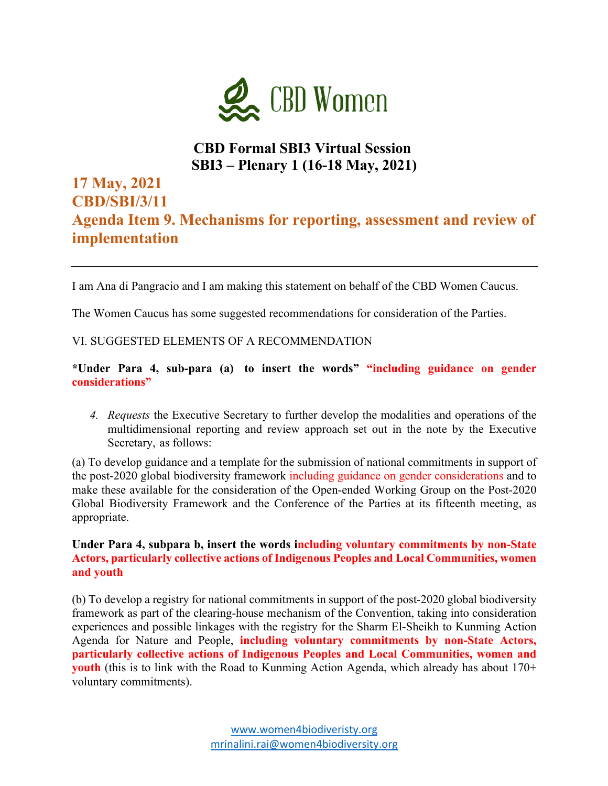

## **CBD Formal SBI3 Virtual Session SBI3 – Plenary 1 (16-18 May, 2021)**

# **17 May, 2021 CBD/SBI/3/11 Agenda Item 9. Mechanisms for reporting, assessment and review of implementation**

I am Ana di Pangracio and I am making this statement on behalf of the CBD Women Caucus.

The Women Caucus has some suggested recommendations for consideration of the Parties.

#### VI. SUGGESTED ELEMENTS OF A RECOMMENDATION

**\*Under Para 4, sub-para (a) to insert the words" "including guidance on gender considerations"**

*4. Requests* the Executive Secretary to further develop the modalities and operations of the multidimensional reporting and review approach set out in the note by the Executive Secretary,**.** as follows:

(a) To develop guidance and a template for the submission of national commitments in support of the post-2020 global biodiversity framework including guidance on gender considerations and to make these available for the consideration of the Open-ended Working Group on the Post-2020 Global Biodiversity Framework and the Conference of the Parties at its fifteenth meeting, as appropriate.

**Under Para 4, subpara b, insert the words including voluntary commitments by non-State Actors, particularly collective actions of Indigenous Peoples and Local Communities, women and youth**

(b) To develop a registry for national commitments in support of the post-2020 global biodiversity framework as part of the clearing-house mechanism of the Convention, taking into consideration experiences and possible linkages with the registry for the Sharm El-Sheikh to Kunming Action Agenda for Nature and People, **including voluntary commitments by non-State Actors, particularly collective actions of Indigenous Peoples and Local Communities, women and youth** (this is to link with the Road to Kunming Action Agenda, which already has about 170+ voluntary commitments).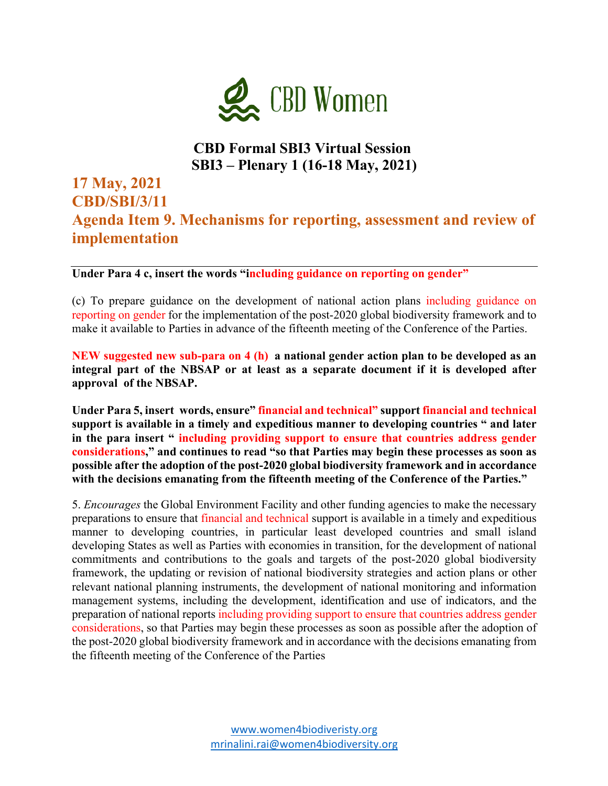

## **CBD Formal SBI3 Virtual Session SBI3 – Plenary 1 (16-18 May, 2021)**

## **17 May, 2021 CBD/SBI/3/11 Agenda Item 9. Mechanisms for reporting, assessment and review of implementation**

**Under Para 4 c, insert the words "including guidance on reporting on gender"**

(c) To prepare guidance on the development of national action plans including guidance on reporting on gender for the implementation of the post-2020 global biodiversity framework and to make it available to Parties in advance of the fifteenth meeting of the Conference of the Parties.

**NEW suggested new sub-para on 4 (h) a national gender action plan to be developed as an integral part of the NBSAP or at least as a separate document if it is developed after approval of the NBSAP.**

**Under Para 5, insert words, ensure" financial and technical" support financial and technical support is available in a timely and expeditious manner to developing countries " and later in the para insert " including providing support to ensure that countries address gender considerations," and continues to read "so that Parties may begin these processes as soon as possible after the adoption of the post-2020 global biodiversity framework and in accordance with the decisions emanating from the fifteenth meeting of the Conference of the Parties."** 

5. *Encourages* the Global Environment Facility and other funding agencies to make the necessary preparations to ensure that financial and technical support is available in a timely and expeditious manner to developing countries, in particular least developed countries and small island developing States as well as Parties with economies in transition, for the development of national commitments and contributions to the goals and targets of the post-2020 global biodiversity framework, the updating or revision of national biodiversity strategies and action plans or other relevant national planning instruments, the development of national monitoring and information management systems, including the development, identification and use of indicators, and the preparation of national reports including providing support to ensure that countries address gender considerations, so that Parties may begin these processes as soon as possible after the adoption of the post-2020 global biodiversity framework and in accordance with the decisions emanating from the fifteenth meeting of the Conference of the Parties